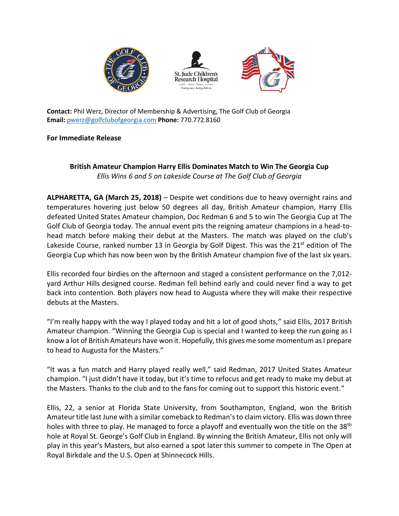





**Contact:** Phil Werz, Director of Membership & Advertising, The Golf Club of Georgia **Email:** [pwerz@golfclubofgeorgia.com](mailto:pwerz@golfclubofgeorgia.com) **Phone:** 770.772.8160

## **For Immediate Release**

## **British Amateur Champion Harry Ellis Dominates Match to Win The Georgia Cup** *Ellis Wins 6 and 5 on Lakeside Course at The Golf Club of Georgia*

**ALPHARETTA, GA (March 25, 2018)** – Despite wet conditions due to heavy overnight rains and temperatures hovering just below 50 degrees all day, British Amateur champion, Harry Ellis defeated United States Amateur champion, Doc Redman 6 and 5 to win The Georgia Cup at The Golf Club of Georgia today. The annual event pits the reigning amateur champions in a head-tohead match before making their debut at the Masters. The match was played on the club's Lakeside Course, ranked number 13 in Georgia by Golf Digest. This was the  $21<sup>st</sup>$  edition of The Georgia Cup which has now been won by the British Amateur champion five of the last six years.

Ellis recorded four birdies on the afternoon and staged a consistent performance on the 7,012 yard Arthur Hills designed course. Redman fell behind early and could never find a way to get back into contention. Both players now head to Augusta where they will make their respective debuts at the Masters.

"I'm really happy with the way I played today and hit a lot of good shots," said Ellis, 2017 British Amateur champion. "Winning the Georgia Cup is special and I wanted to keep the run going as I know a lot of British Amateurs have won it. Hopefully, this gives me some momentum as I prepare to head to Augusta for the Masters."

"It was a fun match and Harry played really well," said Redman, 2017 United States Amateur champion. "I just didn't have it today, but it's time to refocus and get ready to make my debut at the Masters. Thanks to the club and to the fans for coming out to support this historic event."

Ellis, 22, a senior at Florida State University, from Southampton, England, won the British Amateur title last June with a similar comeback to Redman's to claim victory. Ellis was down three holes with three to play. He managed to force a playoff and eventually won the title on the 38<sup>th</sup> hole at Royal St. George's Golf Club in England. By winning the British Amateur, Ellis not only will play in this year's Masters, but also earned a spot later this summer to compete in The Open at Royal Birkdale and the U.S. Open at Shinnecock Hills.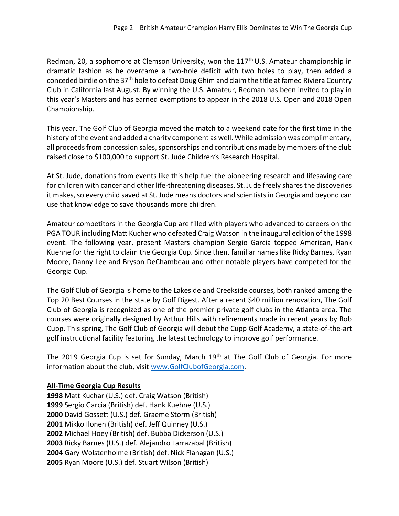Redman, 20, a sophomore at Clemson University, won the 117<sup>th</sup> U.S. Amateur championship in dramatic fashion as he overcame a two-hole deficit with two holes to play, then added a conceded birdie on the 37th hole to defeat Doug Ghim and claim the title at famed Riviera Country Club in California last August. By winning the U.S. Amateur, Redman has been invited to play in this year's Masters and has earned exemptions to appear in the 2018 U.S. Open and 2018 Open Championship.

This year, The Golf Club of Georgia moved the match to a weekend date for the first time in the history of the event and added a charity component as well. While admission was complimentary, all proceeds from concession sales, sponsorships and contributions made by members of the club raised close to \$100,000 to support St. Jude Children's Research Hospital.

At St. Jude, donations from events like this help fuel the pioneering research and lifesaving care for children with cancer and other life-threatening diseases. St. Jude freely shares the discoveries it makes, so every child saved at St. Jude means doctors and scientists in Georgia and beyond can use that knowledge to save thousands more children.

Amateur competitors in the Georgia Cup are filled with players who advanced to careers on the PGA TOUR including Matt Kucher who defeated Craig Watson in the inaugural edition of the 1998 event. The following year, present Masters champion Sergio Garcia topped American, Hank Kuehne for the right to claim the Georgia Cup. Since then, familiar names like Ricky Barnes, Ryan Moore, Danny Lee and Bryson DeChambeau and other notable players have competed for the Georgia Cup.

The Golf Club of Georgia is home to the Lakeside and Creekside courses, both ranked among the Top 20 Best Courses in the state by Golf Digest. After a recent \$40 million renovation, The Golf Club of Georgia is recognized as one of the premier private golf clubs in the Atlanta area. The courses were originally designed by Arthur Hills with refinements made in recent years by Bob Cupp. This spring, The Golf Club of Georgia will debut the Cupp Golf Academy, a state-of-the-art golf instructional facility featuring the latest technology to improve golf performance.

The 2019 Georgia Cup is set for Sunday, March 19<sup>th</sup> at The Golf Club of Georgia. For more information about the club, visit [www.GolfClubofGeorgia.com.](http://www.golfclubofgeorgia.com/)

## **All-Time Georgia Cup Results**

Matt Kuchar (U.S.) def. Craig Watson (British) Sergio Garcia (British) def. Hank Kuehne (U.S.) David Gossett (U.S.) def. Graeme Storm (British) Mikko Ilonen (British) def. Jeff Quinney (U.S.) Michael Hoey (British) def. Bubba Dickerson (U.S.) Ricky Barnes (U.S.) def. Alejandro Larrazabal (British) Gary Wolstenholme (British) def. Nick Flanagan (U.S.) Ryan Moore (U.S.) def. Stuart Wilson (British)